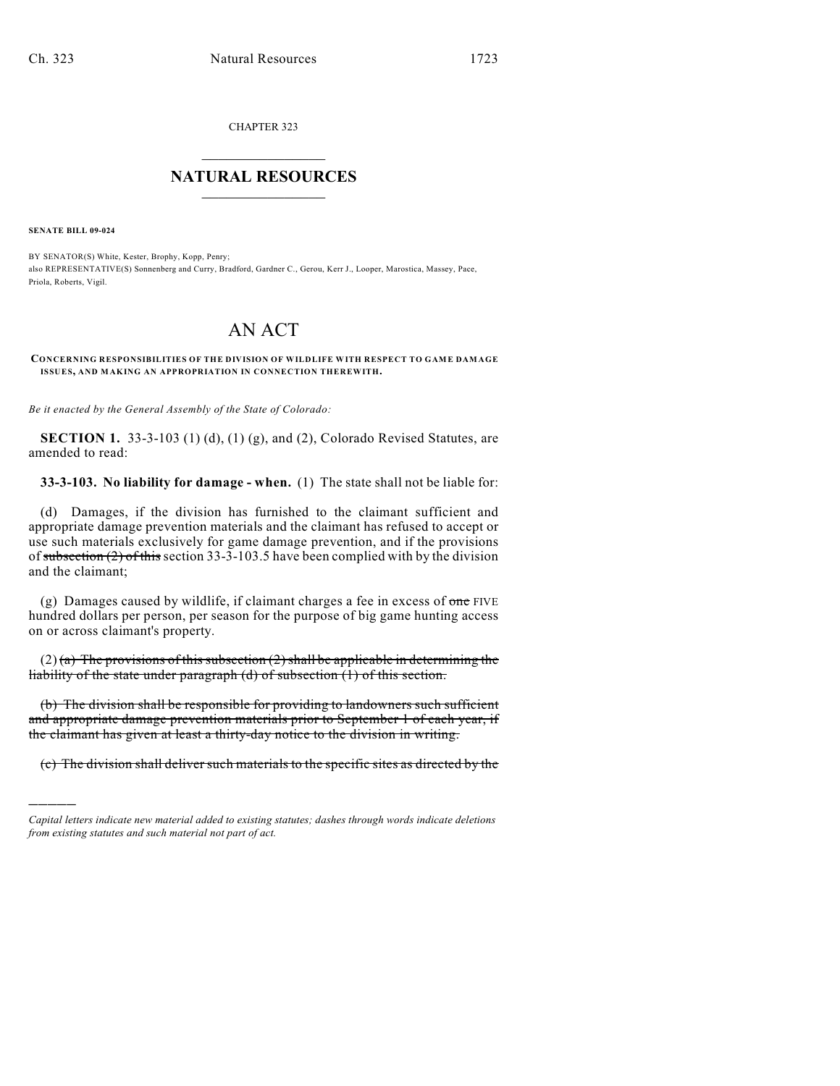CHAPTER 323  $\mathcal{L}_\text{max}$  . The set of the set of the set of the set of the set of the set of the set of the set of the set of the set of the set of the set of the set of the set of the set of the set of the set of the set of the set

## **NATURAL RESOURCES**  $\frac{1}{\sqrt{2}}$  , where  $\frac{1}{\sqrt{2}}$  ,  $\frac{1}{\sqrt{2}}$  ,  $\frac{1}{\sqrt{2}}$

**SENATE BILL 09-024**

)))))

BY SENATOR(S) White, Kester, Brophy, Kopp, Penry; also REPRESENTATIVE(S) Sonnenberg and Curry, Bradford, Gardner C., Gerou, Kerr J., Looper, Marostica, Massey, Pace, Priola, Roberts, Vigil.

# AN ACT

**CONCERNING RESPONSIBILITIES OF THE DIVISION OF WILDLIFE WITH RESPECT TO GAME DAMAGE ISSUES, AND MAKING AN APPROPRIATION IN CONNECTION THEREWITH.**

*Be it enacted by the General Assembly of the State of Colorado:*

**SECTION 1.** 33-3-103 (1) (d), (1) (g), and (2), Colorado Revised Statutes, are amended to read:

**33-3-103. No liability for damage - when.** (1) The state shall not be liable for:

(d) Damages, if the division has furnished to the claimant sufficient and appropriate damage prevention materials and the claimant has refused to accept or use such materials exclusively for game damage prevention, and if the provisions of subsection (2) of this section 33-3-103.5 have been complied with by the division and the claimant;

(g) Damages caused by wildlife, if claimant charges a fee in excess of  $\theta$  one FIVE hundred dollars per person, per season for the purpose of big game hunting access on or across claimant's property.

 $(2)$  (a) The provisions of this subsection (2) shall be applicable in determining the liability of the state under paragraph (d) of subsection (1) of this section.

(b) The division shall be responsible for providing to landowners such sufficient and appropriate damage prevention materials prior to September 1 of each year, if the claimant has given at least a thirty-day notice to the division in writing.

(c) The division shall deliver such materials to the specific sites as directed by the

*Capital letters indicate new material added to existing statutes; dashes through words indicate deletions from existing statutes and such material not part of act.*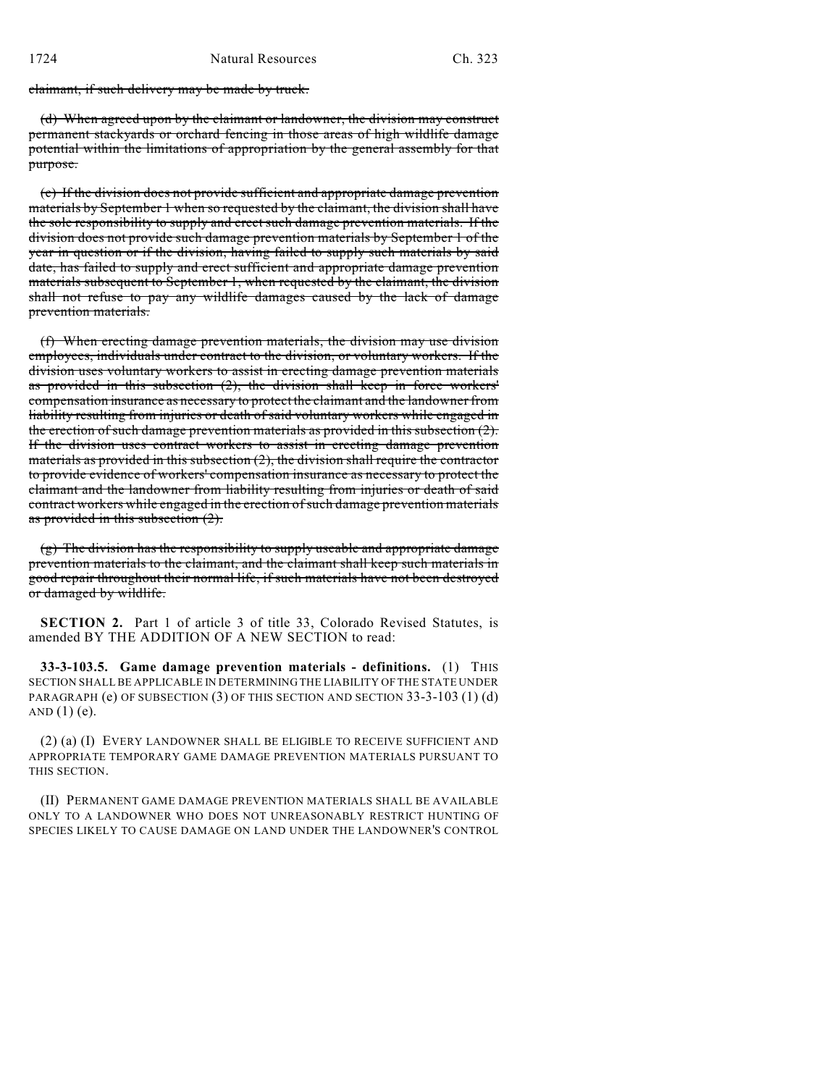claimant, if such delivery may be made by truck.

(d) When agreed upon by the claimant or landowner, the division may construct permanent stackyards or orchard fencing in those areas of high wildlife damage potential within the limitations of appropriation by the general assembly for that purpose.

(e) If the division does not provide sufficient and appropriate damage prevention materials by September 1 when so requested by the claimant, the division shall have the sole responsibility to supply and erect such damage prevention materials. If the division does not provide such damage prevention materials by September 1 of the year in question or if the division, having failed to supply such materials by said date, has failed to supply and erect sufficient and appropriate damage prevention materials subsequent to September 1, when requested by the claimant, the division shall not refuse to pay any wildlife damages caused by the lack of damage prevention materials.

(f) When erecting damage prevention materials, the division may use division employees, individuals under contract to the division, or voluntary workers. If the division uses voluntary workers to assist in erecting damage prevention materials as provided in this subsection (2), the division shall keep in force workers' compensation insurance as necessary to protect the claimant and the landowner from liability resulting from injuries or death of said voluntary workers while engaged in the erection of such damage prevention materials as provided in this subsection (2). If the division uses contract workers to assist in erecting damage prevention materials as provided in this subsection (2), the division shall require the contractor to provide evidence of workers' compensation insurance as necessary to protect the claimant and the landowner from liability resulting from injuries or death of said contract workers while engaged in the erection of such damage prevention materials as provided in this subsection (2).

(g) The division has the responsibility to supply useable and appropriate damage prevention materials to the claimant, and the claimant shall keep such materials in good repair throughout their normal life, if such materials have not been destroyed or damaged by wildlife.

**SECTION 2.** Part 1 of article 3 of title 33, Colorado Revised Statutes, is amended BY THE ADDITION OF A NEW SECTION to read:

**33-3-103.5. Game damage prevention materials - definitions.** (1) THIS SECTION SHALL BE APPLICABLE IN DETERMINING THE LIABILITY OF THE STATE UNDER PARAGRAPH (e) OF SUBSECTION (3) OF THIS SECTION AND SECTION 33-3-103 (1) (d) AND  $(1)$  (e).

(2) (a) (I) EVERY LANDOWNER SHALL BE ELIGIBLE TO RECEIVE SUFFICIENT AND APPROPRIATE TEMPORARY GAME DAMAGE PREVENTION MATERIALS PURSUANT TO THIS SECTION.

(II) PERMANENT GAME DAMAGE PREVENTION MATERIALS SHALL BE AVAILABLE ONLY TO A LANDOWNER WHO DOES NOT UNREASONABLY RESTRICT HUNTING OF SPECIES LIKELY TO CAUSE DAMAGE ON LAND UNDER THE LANDOWNER'S CONTROL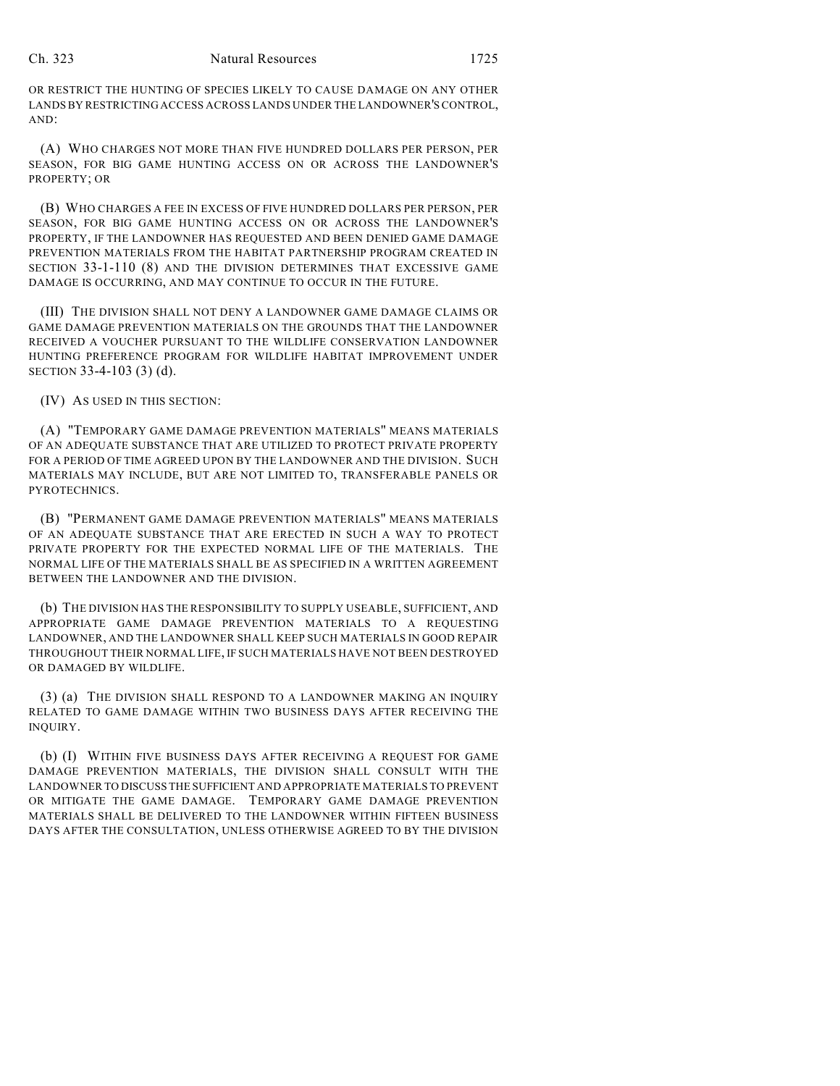#### Ch. 323 Natural Resources 1725

OR RESTRICT THE HUNTING OF SPECIES LIKELY TO CAUSE DAMAGE ON ANY OTHER LANDS BY RESTRICTING ACCESS ACROSS LANDS UNDER THE LANDOWNER'S CONTROL, AND:

(A) WHO CHARGES NOT MORE THAN FIVE HUNDRED DOLLARS PER PERSON, PER SEASON, FOR BIG GAME HUNTING ACCESS ON OR ACROSS THE LANDOWNER'S PROPERTY; OR

(B) WHO CHARGES A FEE IN EXCESS OF FIVE HUNDRED DOLLARS PER PERSON, PER SEASON, FOR BIG GAME HUNTING ACCESS ON OR ACROSS THE LANDOWNER'S PROPERTY, IF THE LANDOWNER HAS REQUESTED AND BEEN DENIED GAME DAMAGE PREVENTION MATERIALS FROM THE HABITAT PARTNERSHIP PROGRAM CREATED IN SECTION 33-1-110 (8) AND THE DIVISION DETERMINES THAT EXCESSIVE GAME DAMAGE IS OCCURRING, AND MAY CONTINUE TO OCCUR IN THE FUTURE.

(III) THE DIVISION SHALL NOT DENY A LANDOWNER GAME DAMAGE CLAIMS OR GAME DAMAGE PREVENTION MATERIALS ON THE GROUNDS THAT THE LANDOWNER RECEIVED A VOUCHER PURSUANT TO THE WILDLIFE CONSERVATION LANDOWNER HUNTING PREFERENCE PROGRAM FOR WILDLIFE HABITAT IMPROVEMENT UNDER SECTION 33-4-103 (3) (d).

(IV) AS USED IN THIS SECTION:

(A) "TEMPORARY GAME DAMAGE PREVENTION MATERIALS" MEANS MATERIALS OF AN ADEQUATE SUBSTANCE THAT ARE UTILIZED TO PROTECT PRIVATE PROPERTY FOR A PERIOD OF TIME AGREED UPON BY THE LANDOWNER AND THE DIVISION. SUCH MATERIALS MAY INCLUDE, BUT ARE NOT LIMITED TO, TRANSFERABLE PANELS OR PYROTECHNICS.

(B) "PERMANENT GAME DAMAGE PREVENTION MATERIALS" MEANS MATERIALS OF AN ADEQUATE SUBSTANCE THAT ARE ERECTED IN SUCH A WAY TO PROTECT PRIVATE PROPERTY FOR THE EXPECTED NORMAL LIFE OF THE MATERIALS. THE NORMAL LIFE OF THE MATERIALS SHALL BE AS SPECIFIED IN A WRITTEN AGREEMENT BETWEEN THE LANDOWNER AND THE DIVISION.

(b) THE DIVISION HAS THE RESPONSIBILITY TO SUPPLY USEABLE, SUFFICIENT, AND APPROPRIATE GAME DAMAGE PREVENTION MATERIALS TO A REQUESTING LANDOWNER, AND THE LANDOWNER SHALL KEEP SUCH MATERIALS IN GOOD REPAIR THROUGHOUT THEIR NORMAL LIFE, IF SUCH MATERIALS HAVE NOT BEEN DESTROYED OR DAMAGED BY WILDLIFE.

(3) (a) THE DIVISION SHALL RESPOND TO A LANDOWNER MAKING AN INQUIRY RELATED TO GAME DAMAGE WITHIN TWO BUSINESS DAYS AFTER RECEIVING THE INQUIRY.

(b) (I) WITHIN FIVE BUSINESS DAYS AFTER RECEIVING A REQUEST FOR GAME DAMAGE PREVENTION MATERIALS, THE DIVISION SHALL CONSULT WITH THE LANDOWNER TO DISCUSS THE SUFFICIENT AND APPROPRIATE MATERIALS TO PREVENT OR MITIGATE THE GAME DAMAGE. TEMPORARY GAME DAMAGE PREVENTION MATERIALS SHALL BE DELIVERED TO THE LANDOWNER WITHIN FIFTEEN BUSINESS DAYS AFTER THE CONSULTATION, UNLESS OTHERWISE AGREED TO BY THE DIVISION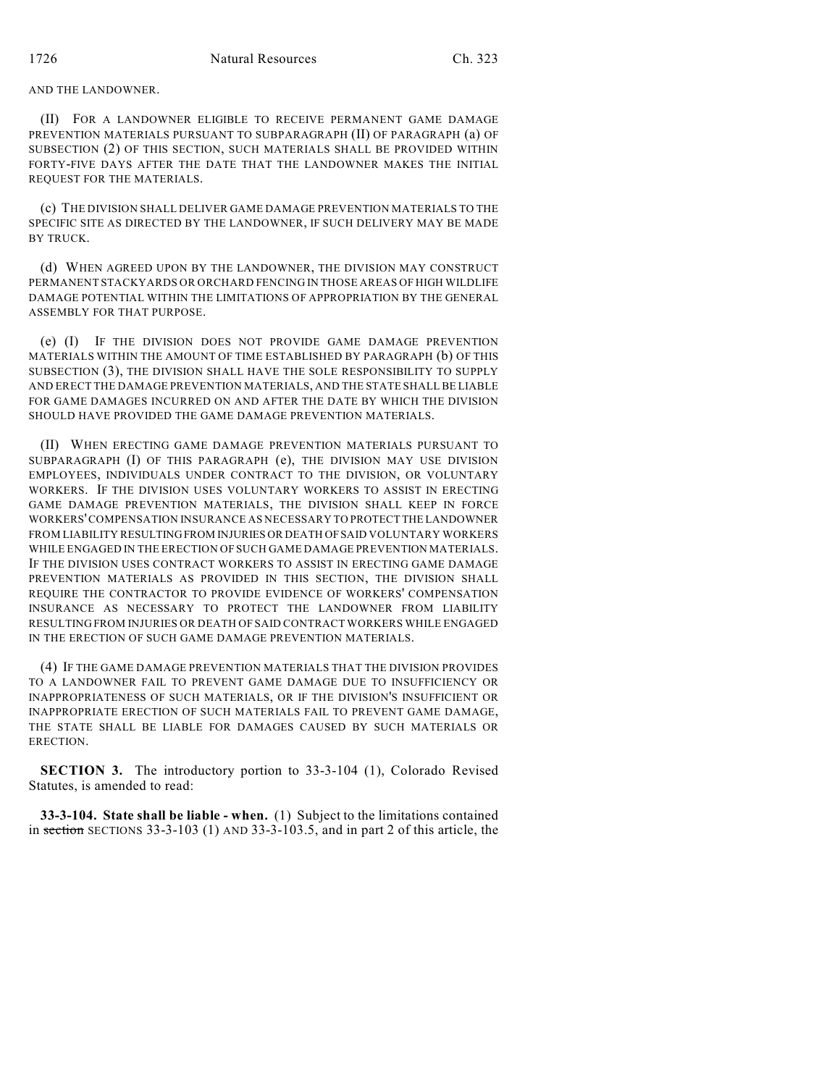### AND THE LANDOWNER.

(II) FOR A LANDOWNER ELIGIBLE TO RECEIVE PERMANENT GAME DAMAGE PREVENTION MATERIALS PURSUANT TO SUBPARAGRAPH (II) OF PARAGRAPH (a) OF SUBSECTION (2) OF THIS SECTION, SUCH MATERIALS SHALL BE PROVIDED WITHIN FORTY-FIVE DAYS AFTER THE DATE THAT THE LANDOWNER MAKES THE INITIAL REQUEST FOR THE MATERIALS.

(c) THE DIVISION SHALL DELIVER GAME DAMAGE PREVENTION MATERIALS TO THE SPECIFIC SITE AS DIRECTED BY THE LANDOWNER, IF SUCH DELIVERY MAY BE MADE BY TRUCK.

(d) WHEN AGREED UPON BY THE LANDOWNER, THE DIVISION MAY CONSTRUCT PERMANENT STACKYARDS OR ORCHARD FENCING IN THOSE AREAS OF HIGH WILDLIFE DAMAGE POTENTIAL WITHIN THE LIMITATIONS OF APPROPRIATION BY THE GENERAL ASSEMBLY FOR THAT PURPOSE.

(e) (I) IF THE DIVISION DOES NOT PROVIDE GAME DAMAGE PREVENTION MATERIALS WITHIN THE AMOUNT OF TIME ESTABLISHED BY PARAGRAPH (b) OF THIS SUBSECTION (3), THE DIVISION SHALL HAVE THE SOLE RESPONSIBILITY TO SUPPLY AND ERECT THE DAMAGE PREVENTION MATERIALS, AND THE STATE SHALL BE LIABLE FOR GAME DAMAGES INCURRED ON AND AFTER THE DATE BY WHICH THE DIVISION SHOULD HAVE PROVIDED THE GAME DAMAGE PREVENTION MATERIALS.

(II) WHEN ERECTING GAME DAMAGE PREVENTION MATERIALS PURSUANT TO SUBPARAGRAPH (I) OF THIS PARAGRAPH (e), THE DIVISION MAY USE DIVISION EMPLOYEES, INDIVIDUALS UNDER CONTRACT TO THE DIVISION, OR VOLUNTARY WORKERS. IF THE DIVISION USES VOLUNTARY WORKERS TO ASSIST IN ERECTING GAME DAMAGE PREVENTION MATERIALS, THE DIVISION SHALL KEEP IN FORCE WORKERS' COMPENSATION INSURANCE AS NECESSARY TO PROTECT THE LANDOWNER FROM LIABILITY RESULTING FROM INJURIES OR DEATH OF SAID VOLUNTARY WORKERS WHILE ENGAGED IN THE ERECTION OF SUCH GAME DAMAGE PREVENTION MATERIALS. IF THE DIVISION USES CONTRACT WORKERS TO ASSIST IN ERECTING GAME DAMAGE PREVENTION MATERIALS AS PROVIDED IN THIS SECTION, THE DIVISION SHALL REQUIRE THE CONTRACTOR TO PROVIDE EVIDENCE OF WORKERS' COMPENSATION INSURANCE AS NECESSARY TO PROTECT THE LANDOWNER FROM LIABILITY RESULTING FROM INJURIES OR DEATH OF SAID CONTRACT WORKERS WHILE ENGAGED IN THE ERECTION OF SUCH GAME DAMAGE PREVENTION MATERIALS.

(4) IF THE GAME DAMAGE PREVENTION MATERIALS THAT THE DIVISION PROVIDES TO A LANDOWNER FAIL TO PREVENT GAME DAMAGE DUE TO INSUFFICIENCY OR INAPPROPRIATENESS OF SUCH MATERIALS, OR IF THE DIVISION'S INSUFFICIENT OR INAPPROPRIATE ERECTION OF SUCH MATERIALS FAIL TO PREVENT GAME DAMAGE, THE STATE SHALL BE LIABLE FOR DAMAGES CAUSED BY SUCH MATERIALS OR ERECTION.

**SECTION 3.** The introductory portion to 33-3-104 (1), Colorado Revised Statutes, is amended to read:

**33-3-104. State shall be liable - when.** (1) Subject to the limitations contained in section SECTIONS 33-3-103 (1) AND 33-3-103.5, and in part 2 of this article, the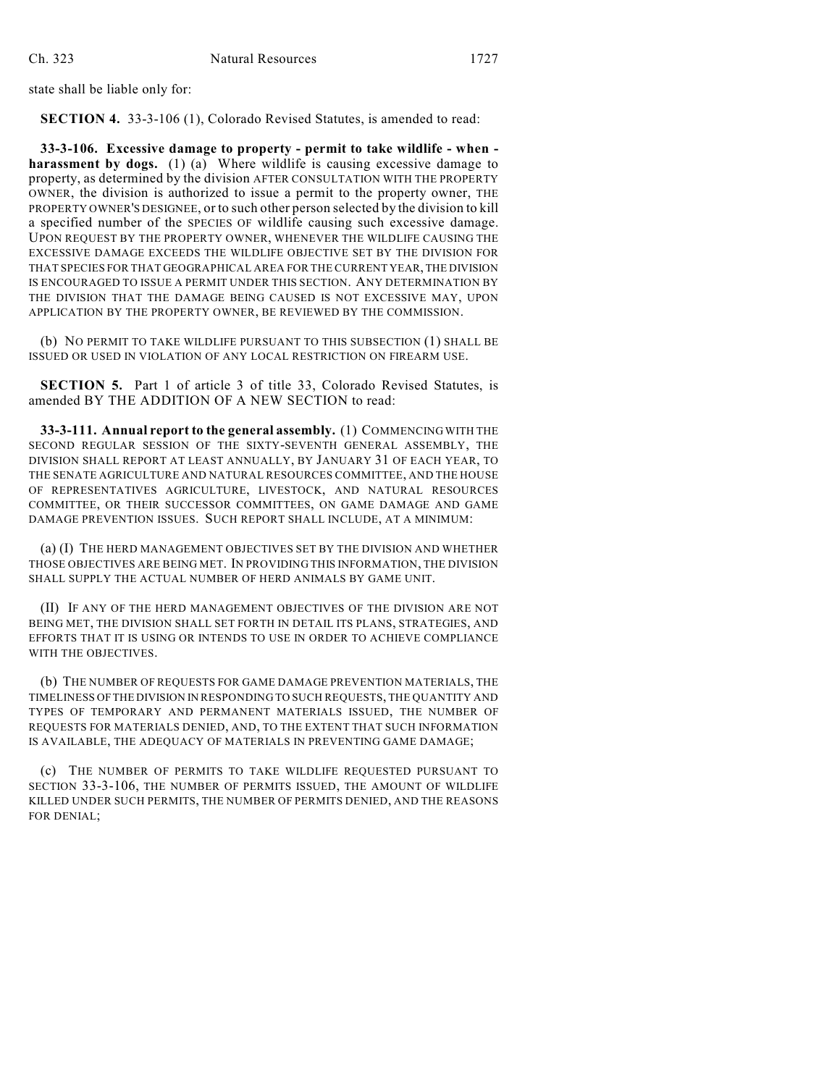state shall be liable only for:

**SECTION 4.** 33-3-106 (1), Colorado Revised Statutes, is amended to read:

**33-3-106. Excessive damage to property - permit to take wildlife - when**  harassment by dogs. (1) (a) Where wildlife is causing excessive damage to property, as determined by the division AFTER CONSULTATION WITH THE PROPERTY OWNER, the division is authorized to issue a permit to the property owner, THE PROPERTY OWNER'S DESIGNEE, or to such other person selected by the division to kill a specified number of the SPECIES OF wildlife causing such excessive damage. UPON REQUEST BY THE PROPERTY OWNER, WHENEVER THE WILDLIFE CAUSING THE EXCESSIVE DAMAGE EXCEEDS THE WILDLIFE OBJECTIVE SET BY THE DIVISION FOR THAT SPECIES FOR THAT GEOGRAPHICAL AREA FOR THE CURRENT YEAR, THE DIVISION IS ENCOURAGED TO ISSUE A PERMIT UNDER THIS SECTION. ANY DETERMINATION BY THE DIVISION THAT THE DAMAGE BEING CAUSED IS NOT EXCESSIVE MAY, UPON APPLICATION BY THE PROPERTY OWNER, BE REVIEWED BY THE COMMISSION.

(b) NO PERMIT TO TAKE WILDLIFE PURSUANT TO THIS SUBSECTION (1) SHALL BE ISSUED OR USED IN VIOLATION OF ANY LOCAL RESTRICTION ON FIREARM USE.

**SECTION 5.** Part 1 of article 3 of title 33, Colorado Revised Statutes, is amended BY THE ADDITION OF A NEW SECTION to read:

**33-3-111. Annual report to the general assembly.** (1) COMMENCING WITH THE SECOND REGULAR SESSION OF THE SIXTY-SEVENTH GENERAL ASSEMBLY, THE DIVISION SHALL REPORT AT LEAST ANNUALLY, BY JANUARY 31 OF EACH YEAR, TO THE SENATE AGRICULTURE AND NATURAL RESOURCES COMMITTEE, AND THE HOUSE OF REPRESENTATIVES AGRICULTURE, LIVESTOCK, AND NATURAL RESOURCES COMMITTEE, OR THEIR SUCCESSOR COMMITTEES, ON GAME DAMAGE AND GAME DAMAGE PREVENTION ISSUES. SUCH REPORT SHALL INCLUDE, AT A MINIMUM:

(a) (I) THE HERD MANAGEMENT OBJECTIVES SET BY THE DIVISION AND WHETHER THOSE OBJECTIVES ARE BEING MET. IN PROVIDING THIS INFORMATION, THE DIVISION SHALL SUPPLY THE ACTUAL NUMBER OF HERD ANIMALS BY GAME UNIT.

(II) IF ANY OF THE HERD MANAGEMENT OBJECTIVES OF THE DIVISION ARE NOT BEING MET, THE DIVISION SHALL SET FORTH IN DETAIL ITS PLANS, STRATEGIES, AND EFFORTS THAT IT IS USING OR INTENDS TO USE IN ORDER TO ACHIEVE COMPLIANCE WITH THE OBJECTIVES.

(b) THE NUMBER OF REQUESTS FOR GAME DAMAGE PREVENTION MATERIALS, THE TIMELINESS OF THE DIVISION IN RESPONDING TO SUCH REQUESTS, THE QUANTITY AND TYPES OF TEMPORARY AND PERMANENT MATERIALS ISSUED, THE NUMBER OF REQUESTS FOR MATERIALS DENIED, AND, TO THE EXTENT THAT SUCH INFORMATION IS AVAILABLE, THE ADEQUACY OF MATERIALS IN PREVENTING GAME DAMAGE;

(c) THE NUMBER OF PERMITS TO TAKE WILDLIFE REQUESTED PURSUANT TO SECTION 33-3-106, THE NUMBER OF PERMITS ISSUED, THE AMOUNT OF WILDLIFE KILLED UNDER SUCH PERMITS, THE NUMBER OF PERMITS DENIED, AND THE REASONS FOR DENIAL;